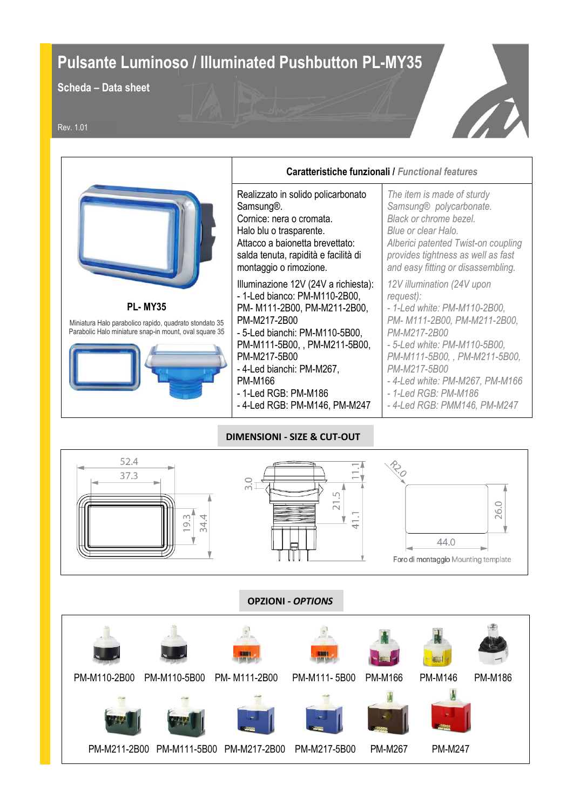## **Pulsante Luminoso / Illuminated Pushbutton PL-MY35**

 **Scheda – Data sheet**

## Rev. 1.01



## **DIMENSIONI - SIZE & CUT-OUT**



PM-M211-2B00 PM-M111-5B00 PM-M217-2B00 PM-M217-5B00 PM-M267 PM-M247